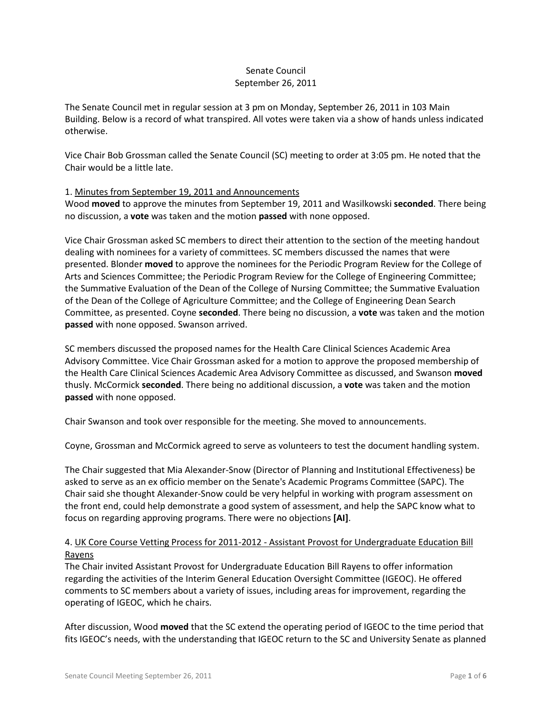# Senate Council September 26, 2011

The Senate Council met in regular session at 3 pm on Monday, September 26, 2011 in 103 Main Building. Below is a record of what transpired. All votes were taken via a show of hands unless indicated otherwise.

Vice Chair Bob Grossman called the Senate Council (SC) meeting to order at 3:05 pm. He noted that the Chair would be a little late.

## 1. Minutes from September 19, 2011 and Announcements

Wood **moved** to approve the minutes from September 19, 2011 and Wasilkowski **seconded**. There being no discussion, a **vote** was taken and the motion **passed** with none opposed.

Vice Chair Grossman asked SC members to direct their attention to the section of the meeting handout dealing with nominees for a variety of committees. SC members discussed the names that were presented. Blonder **moved** to approve the nominees for the Periodic Program Review for the College of Arts and Sciences Committee; the Periodic Program Review for the College of Engineering Committee; the Summative Evaluation of the Dean of the College of Nursing Committee; the Summative Evaluation of the Dean of the College of Agriculture Committee; and the College of Engineering Dean Search Committee, as presented. Coyne **seconded**. There being no discussion, a **vote** was taken and the motion **passed** with none opposed. Swanson arrived.

SC members discussed the proposed names for the Health Care Clinical Sciences Academic Area Advisory Committee. Vice Chair Grossman asked for a motion to approve the proposed membership of the Health Care Clinical Sciences Academic Area Advisory Committee as discussed, and Swanson **moved**  thusly. McCormick **seconded**. There being no additional discussion, a **vote** was taken and the motion **passed** with none opposed.

Chair Swanson and took over responsible for the meeting. She moved to announcements.

Coyne, Grossman and McCormick agreed to serve as volunteers to test the document handling system.

The Chair suggested that Mia Alexander-Snow (Director of Planning and Institutional Effectiveness) be asked to serve as an ex officio member on the Senate's Academic Programs Committee (SAPC). The Chair said she thought Alexander-Snow could be very helpful in working with program assessment on the front end, could help demonstrate a good system of assessment, and help the SAPC know what to focus on regarding approving programs. There were no objections **[AI]**.

# 4. UK Core Course Vetting Process for 2011-2012 - Assistant Provost for Undergraduate Education Bill Rayens

The Chair invited Assistant Provost for Undergraduate Education Bill Rayens to offer information regarding the activities of the Interim General Education Oversight Committee (IGEOC). He offered comments to SC members about a variety of issues, including areas for improvement, regarding the operating of IGEOC, which he chairs.

After discussion, Wood **moved** that the SC extend the operating period of IGEOC to the time period that fits IGEOC's needs, with the understanding that IGEOC return to the SC and University Senate as planned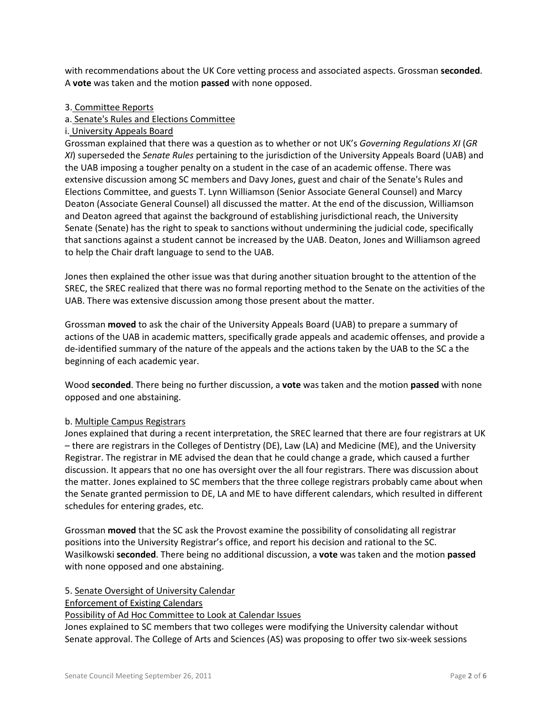with recommendations about the UK Core vetting process and associated aspects. Grossman **seconded**. A **vote** was taken and the motion **passed** with none opposed.

### 3. Committee Reports

### a. Senate's Rules and Elections Committee

#### i. University Appeals Board

Grossman explained that there was a question as to whether or not UK's *Governing Regulations XI* (*GR XI*) superseded the *Senate Rules* pertaining to the jurisdiction of the University Appeals Board (UAB) and the UAB imposing a tougher penalty on a student in the case of an academic offense. There was extensive discussion among SC members and Davy Jones, guest and chair of the Senate's Rules and Elections Committee, and guests T. Lynn Williamson (Senior Associate General Counsel) and Marcy Deaton (Associate General Counsel) all discussed the matter. At the end of the discussion, Williamson and Deaton agreed that against the background of establishing jurisdictional reach, the University Senate (Senate) has the right to speak to sanctions without undermining the judicial code, specifically that sanctions against a student cannot be increased by the UAB. Deaton, Jones and Williamson agreed to help the Chair draft language to send to the UAB.

Jones then explained the other issue was that during another situation brought to the attention of the SREC, the SREC realized that there was no formal reporting method to the Senate on the activities of the UAB. There was extensive discussion among those present about the matter.

Grossman **moved** to ask the chair of the University Appeals Board (UAB) to prepare a summary of actions of the UAB in academic matters, specifically grade appeals and academic offenses, and provide a de-identified summary of the nature of the appeals and the actions taken by the UAB to the SC a the beginning of each academic year.

Wood **seconded**. There being no further discussion, a **vote** was taken and the motion **passed** with none opposed and one abstaining.

#### b. Multiple Campus Registrars

Jones explained that during a recent interpretation, the SREC learned that there are four registrars at UK – there are registrars in the Colleges of Dentistry (DE), Law (LA) and Medicine (ME), and the University Registrar. The registrar in ME advised the dean that he could change a grade, which caused a further discussion. It appears that no one has oversight over the all four registrars. There was discussion about the matter. Jones explained to SC members that the three college registrars probably came about when the Senate granted permission to DE, LA and ME to have different calendars, which resulted in different schedules for entering grades, etc.

Grossman **moved** that the SC ask the Provost examine the possibility of consolidating all registrar positions into the University Registrar's office, and report his decision and rational to the SC. Wasilkowski **seconded**. There being no additional discussion, a **vote** was taken and the motion **passed** with none opposed and one abstaining.

#### 5. Senate Oversight of University Calendar

#### Enforcement of Existing Calendars

## Possibility of Ad Hoc Committee to Look at Calendar Issues

Jones explained to SC members that two colleges were modifying the University calendar without Senate approval. The College of Arts and Sciences (AS) was proposing to offer two six-week sessions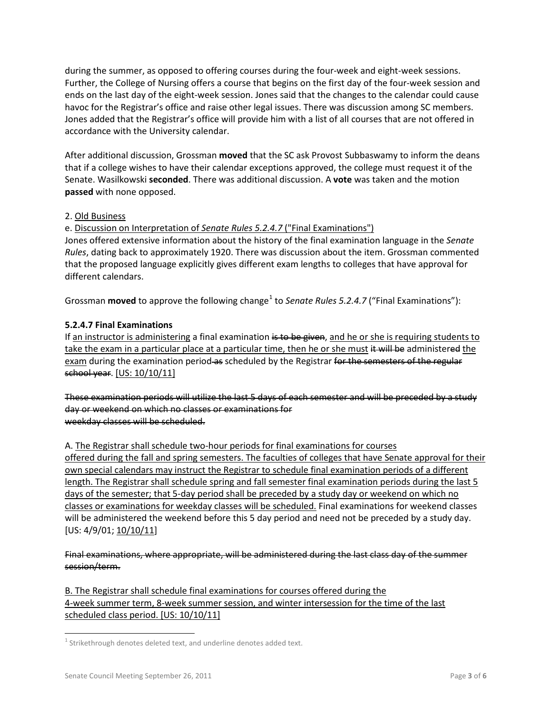during the summer, as opposed to offering courses during the four-week and eight-week sessions. Further, the College of Nursing offers a course that begins on the first day of the four-week session and ends on the last day of the eight-week session. Jones said that the changes to the calendar could cause havoc for the Registrar's office and raise other legal issues. There was discussion among SC members. Jones added that the Registrar's office will provide him with a list of all courses that are not offered in accordance with the University calendar.

After additional discussion, Grossman **moved** that the SC ask Provost Subbaswamy to inform the deans that if a college wishes to have their calendar exceptions approved, the college must request it of the Senate. Wasilkowski **seconded**. There was additional discussion. A **vote** was taken and the motion **passed** with none opposed.

# 2. Old Business

e. Discussion on Interpretation of *Senate Rules 5.2.4.7* ("Final Examinations")

Jones offered extensive information about the history of the final examination language in the *Senate Rules*, dating back to approximately 1920. There was discussion about the item. Grossman commented that the proposed language explicitly gives different exam lengths to colleges that have approval for different calendars.

Grossman **moved** to approve the following change<sup>[1](#page-2-0)</sup> to *Senate Rules 5.2.4.7* ("Final Examinations"):

# **5.2.4.7 Final Examinations**

If an instructor is administering a final examination is to be given, and he or she is requiring students to take the exam in a particular place at a particular time, then he or she must it will be administered the exam during the examination period as scheduled by the Registrar for the semesters of the regular school year. [US: 10/10/11]

These examination periods will utilize the last 5 days of each semester and will be preceded by a study day or weekend on which no classes or examinations for weekday classes will be scheduled.

A. The Registrar shall schedule two-hour periods for final examinations for courses

offered during the fall and spring semesters. The faculties of colleges that have Senate approval for their own special calendars may instruct the Registrar to schedule final examination periods of a different length. The Registrar shall schedule spring and fall semester final examination periods during the last 5 days of the semester; that 5-day period shall be preceded by a study day or weekend on which no classes or examinations for weekday classes will be scheduled. Final examinations for weekend classes will be administered the weekend before this 5 day period and need not be preceded by a study day. [US: 4/9/01; 10/10/11]

Final examinations, where appropriate, will be administered during the last class day of the summer session/term.

B. The Registrar shall schedule final examinations for courses offered during the 4-week summer term, 8-week summer session, and winter intersession for the time of the last scheduled class period. [US: 10/10/11]

<span id="page-2-0"></span><sup>&</sup>lt;sup>1</sup> Strikethrough denotes deleted text, and underline denotes added text.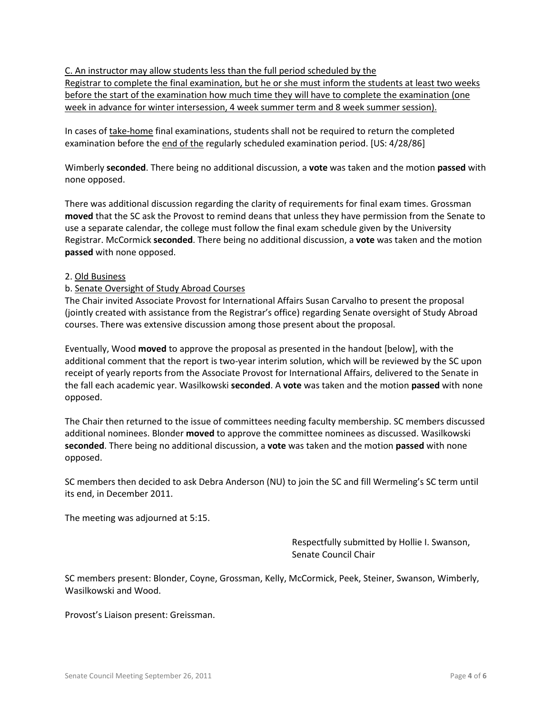C. An instructor may allow students less than the full period scheduled by the Registrar to complete the final examination, but he or she must inform the students at least two weeks before the start of the examination how much time they will have to complete the examination (one week in advance for winter intersession, 4 week summer term and 8 week summer session).

In cases of take-home final examinations, students shall not be required to return the completed examination before the end of the regularly scheduled examination period. [US: 4/28/86]

Wimberly **seconded**. There being no additional discussion, a **vote** was taken and the motion **passed** with none opposed.

There was additional discussion regarding the clarity of requirements for final exam times. Grossman **moved** that the SC ask the Provost to remind deans that unless they have permission from the Senate to use a separate calendar, the college must follow the final exam schedule given by the University Registrar. McCormick **seconded**. There being no additional discussion, a **vote** was taken and the motion **passed** with none opposed.

## 2. Old Business

## b. Senate Oversight of Study Abroad Courses

The Chair invited Associate Provost for International Affairs Susan Carvalho to present the proposal (jointly created with assistance from the Registrar's office) regarding Senate oversight of Study Abroad courses. There was extensive discussion among those present about the proposal.

Eventually, Wood **moved** to approve the proposal as presented in the handout [below], with the additional comment that the report is two-year interim solution, which will be reviewed by the SC upon receipt of yearly reports from the Associate Provost for International Affairs, delivered to the Senate in the fall each academic year. Wasilkowski **seconded**. A **vote** was taken and the motion **passed** with none opposed.

The Chair then returned to the issue of committees needing faculty membership. SC members discussed additional nominees. Blonder **moved** to approve the committee nominees as discussed. Wasilkowski **seconded**. There being no additional discussion, a **vote** was taken and the motion **passed** with none opposed.

SC members then decided to ask Debra Anderson (NU) to join the SC and fill Wermeling's SC term until its end, in December 2011.

The meeting was adjourned at 5:15.

Respectfully submitted by Hollie I. Swanson, Senate Council Chair

SC members present: Blonder, Coyne, Grossman, Kelly, McCormick, Peek, Steiner, Swanson, Wimberly, Wasilkowski and Wood.

Provost's Liaison present: Greissman.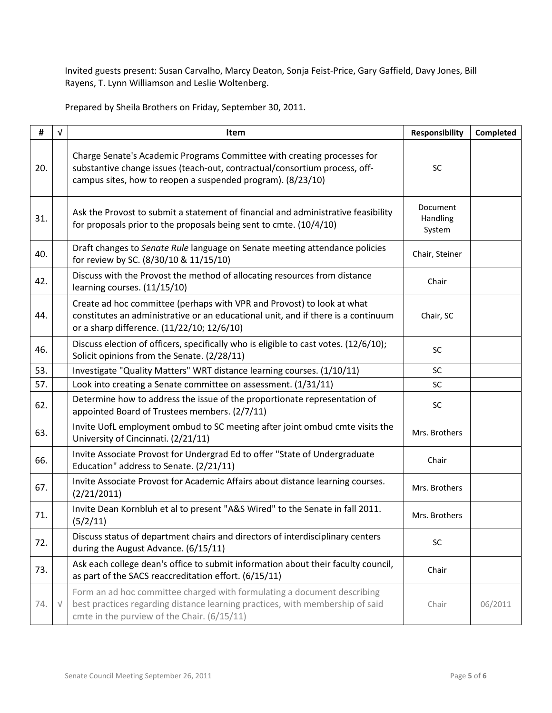Invited guests present: Susan Carvalho, Marcy Deaton, Sonja Feist-Price, Gary Gaffield, Davy Jones, Bill Rayens, T. Lynn Williamson and Leslie Woltenberg.

Prepared by Sheila Brothers on Friday, September 30, 2011.

| #   | $\sqrt{ }$ | Item                                                                                                                                                                                                                 | <b>Responsibility</b>          | Completed |
|-----|------------|----------------------------------------------------------------------------------------------------------------------------------------------------------------------------------------------------------------------|--------------------------------|-----------|
| 20. |            | Charge Senate's Academic Programs Committee with creating processes for<br>substantive change issues (teach-out, contractual/consortium process, off-<br>campus sites, how to reopen a suspended program). (8/23/10) | <b>SC</b>                      |           |
| 31. |            | Ask the Provost to submit a statement of financial and administrative feasibility<br>for proposals prior to the proposals being sent to cmte. (10/4/10)                                                              | Document<br>Handling<br>System |           |
| 40. |            | Draft changes to Senate Rule language on Senate meeting attendance policies<br>for review by SC. (8/30/10 & 11/15/10)                                                                                                | Chair, Steiner                 |           |
| 42. |            | Discuss with the Provost the method of allocating resources from distance<br>learning courses. (11/15/10)                                                                                                            | Chair                          |           |
| 44. |            | Create ad hoc committee (perhaps with VPR and Provost) to look at what<br>constitutes an administrative or an educational unit, and if there is a continuum<br>or a sharp difference. (11/22/10; 12/6/10)            | Chair, SC                      |           |
| 46. |            | Discuss election of officers, specifically who is eligible to cast votes. (12/6/10);<br>Solicit opinions from the Senate. (2/28/11)                                                                                  | SC                             |           |
| 53. |            | Investigate "Quality Matters" WRT distance learning courses. (1/10/11)                                                                                                                                               | SC                             |           |
| 57. |            | Look into creating a Senate committee on assessment. (1/31/11)                                                                                                                                                       | SC                             |           |
| 62. |            | Determine how to address the issue of the proportionate representation of<br>appointed Board of Trustees members. (2/7/11)                                                                                           | SC                             |           |
| 63. |            | Invite UofL employment ombud to SC meeting after joint ombud cmte visits the<br>University of Cincinnati. (2/21/11)                                                                                                  | Mrs. Brothers                  |           |
| 66. |            | Invite Associate Provost for Undergrad Ed to offer "State of Undergraduate<br>Education" address to Senate. (2/21/11)                                                                                                | Chair                          |           |
| 67. |            | Invite Associate Provost for Academic Affairs about distance learning courses.<br>(2/21/2011)                                                                                                                        | Mrs. Brothers                  |           |
| 71. |            | Invite Dean Kornbluh et al to present "A&S Wired" to the Senate in fall 2011.<br>(5/2/11)                                                                                                                            | Mrs. Brothers                  |           |
| 72. |            | Discuss status of department chairs and directors of interdisciplinary centers<br>during the August Advance. (6/15/11)                                                                                               | SC                             |           |
| 73. |            | Ask each college dean's office to submit information about their faculty council,<br>as part of the SACS reaccreditation effort. (6/15/11)                                                                           | Chair                          |           |
| 74. | $\sqrt{}$  | Form an ad hoc committee charged with formulating a document describing<br>best practices regarding distance learning practices, with membership of said<br>cmte in the purview of the Chair. (6/15/11)              | Chair                          | 06/2011   |